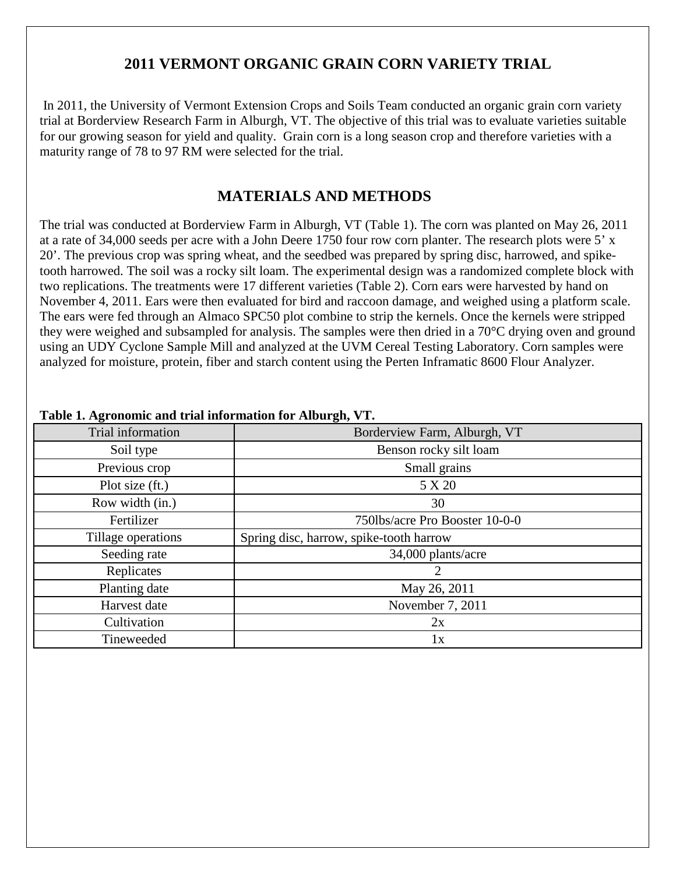## **2011 VERMONT ORGANIC GRAIN CORN VARIETY TRIAL**

In 2011, the University of Vermont Extension Crops and Soils Team conducted an organic grain corn variety trial at Borderview Research Farm in Alburgh, VT. The objective of this trial was to evaluate varieties suitable for our growing season for yield and quality. Grain corn is a long season crop and therefore varieties with a maturity range of 78 to 97 RM were selected for the trial.

## **MATERIALS AND METHODS**

The trial was conducted at Borderview Farm in Alburgh, VT (Table 1). The corn was planted on May 26, 2011 at a rate of 34,000 seeds per acre with a John Deere 1750 four row corn planter. The research plots were 5' x 20'. The previous crop was spring wheat, and the seedbed was prepared by spring disc, harrowed, and spiketooth harrowed. The soil was a rocky silt loam. The experimental design was a randomized complete block with two replications. The treatments were 17 different varieties (Table 2). Corn ears were harvested by hand on November 4, 2011. Ears were then evaluated for bird and raccoon damage, and weighed using a platform scale. The ears were fed through an Almaco SPC50 plot combine to strip the kernels. Once the kernels were stripped they were weighed and subsampled for analysis. The samples were then dried in a 70°C drying oven and ground using an UDY Cyclone Sample Mill and analyzed at the UVM Cereal Testing Laboratory. Corn samples were analyzed for moisture, protein, fiber and starch content using the Perten Inframatic 8600 Flour Analyzer.

| Trial information  | Borderview Farm, Alburgh, VT            |
|--------------------|-----------------------------------------|
| Soil type          | Benson rocky silt loam                  |
| Previous crop      | Small grains                            |
| Plot size (ft.)    | 5 X 20                                  |
| Row width (in.)    | 30                                      |
| Fertilizer         | 750lbs/acre Pro Booster 10-0-0          |
| Tillage operations | Spring disc, harrow, spike-tooth harrow |
| Seeding rate       | 34,000 plants/acre                      |
| Replicates         |                                         |
| Planting date      | May 26, 2011                            |
| Harvest date       | November 7, 2011                        |
| Cultivation        | 2x                                      |
| Tineweeded         | 1x                                      |

### **Table 1. Agronomic and trial information for Alburgh, VT.**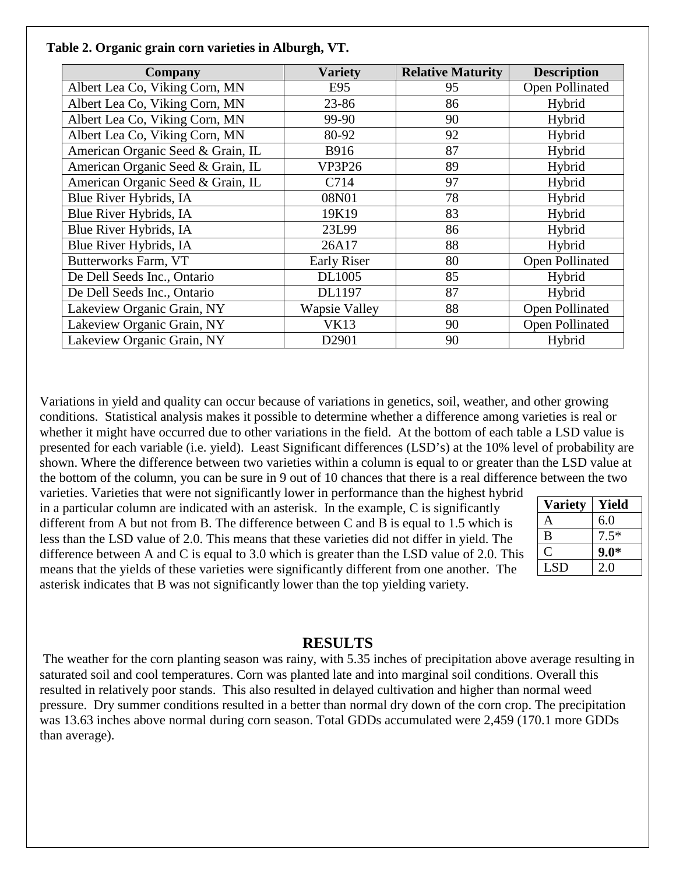| Company                           | Variety              | <b>Relative Maturity</b> | <b>Description</b>     |  |  |
|-----------------------------------|----------------------|--------------------------|------------------------|--|--|
| Albert Lea Co, Viking Corn, MN    | E95                  | 95                       | <b>Open Pollinated</b> |  |  |
| Albert Lea Co, Viking Corn, MN    | 23-86                | 86                       | Hybrid                 |  |  |
| Albert Lea Co, Viking Corn, MN    | 99-90                | 90                       | Hybrid                 |  |  |
| Albert Lea Co, Viking Corn, MN    | 80-92                | 92                       | Hybrid                 |  |  |
| American Organic Seed & Grain, IL | <b>B916</b>          | 87                       | Hybrid                 |  |  |
| American Organic Seed & Grain, IL | <b>VP3P26</b>        | 89                       | Hybrid                 |  |  |
| American Organic Seed & Grain, IL | C714                 | 97                       | Hybrid                 |  |  |
| Blue River Hybrids, IA            | 08N01                | 78                       | Hybrid                 |  |  |
| Blue River Hybrids, IA            | 19K19                | 83                       | Hybrid                 |  |  |
| Blue River Hybrids, IA            | 23L99                | 86                       | Hybrid                 |  |  |
| Blue River Hybrids, IA            | 26A17                | 88                       | Hybrid                 |  |  |
| <b>Butterworks Farm, VT</b>       | <b>Early Riser</b>   | 80                       | Open Pollinated        |  |  |
| De Dell Seeds Inc., Ontario       | DL1005               | 85                       | Hybrid                 |  |  |
| De Dell Seeds Inc., Ontario       | DL1197               | 87                       | Hybrid                 |  |  |
| Lakeview Organic Grain, NY        | <b>Wapsie Valley</b> | 88                       | Open Pollinated        |  |  |
| Lakeview Organic Grain, NY        | <b>VK13</b>          | 90<br>Open Pollinated    |                        |  |  |
| Lakeview Organic Grain, NY        | D <sub>2901</sub>    | 90                       | Hybrid                 |  |  |

#### **Table 2. Organic grain corn varieties in Alburgh, VT.**

Variations in yield and quality can occur because of variations in genetics, soil, weather, and other growing conditions. Statistical analysis makes it possible to determine whether a difference among varieties is real or whether it might have occurred due to other variations in the field. At the bottom of each table a LSD value is presented for each variable (i.e. yield). Least Significant differences (LSD's) at the 10% level of probability are shown. Where the difference between two varieties within a column is equal to or greater than the LSD value at the bottom of the column, you can be sure in 9 out of 10 chances that there is a real difference between the two

varieties. Varieties that were not significantly lower in performance than the highest hybrid in a particular column are indicated with an asterisk. In the example, C is significantly different from A but not from B. The difference between C and B is equal to 1.5 which is less than the LSD value of 2.0. This means that these varieties did not differ in yield. The difference between A and C is equal to 3.0 which is greater than the LSD value of 2.0. This means that the yields of these varieties were significantly different from one another. The asterisk indicates that B was not significantly lower than the top yielding variety.

| <b>Variety</b> | Yield  |
|----------------|--------|
| А              | 6.0    |
| B              | $7.5*$ |
|                | $9.0*$ |
| <b>LSD</b>     | 2.0    |

### **RESULTS**

The weather for the corn planting season was rainy, with 5.35 inches of precipitation above average resulting in saturated soil and cool temperatures. Corn was planted late and into marginal soil conditions. Overall this resulted in relatively poor stands. This also resulted in delayed cultivation and higher than normal weed pressure. Dry summer conditions resulted in a better than normal dry down of the corn crop. The precipitation was 13.63 inches above normal during corn season. Total GDDs accumulated were 2,459 (170.1 more GDDs than average).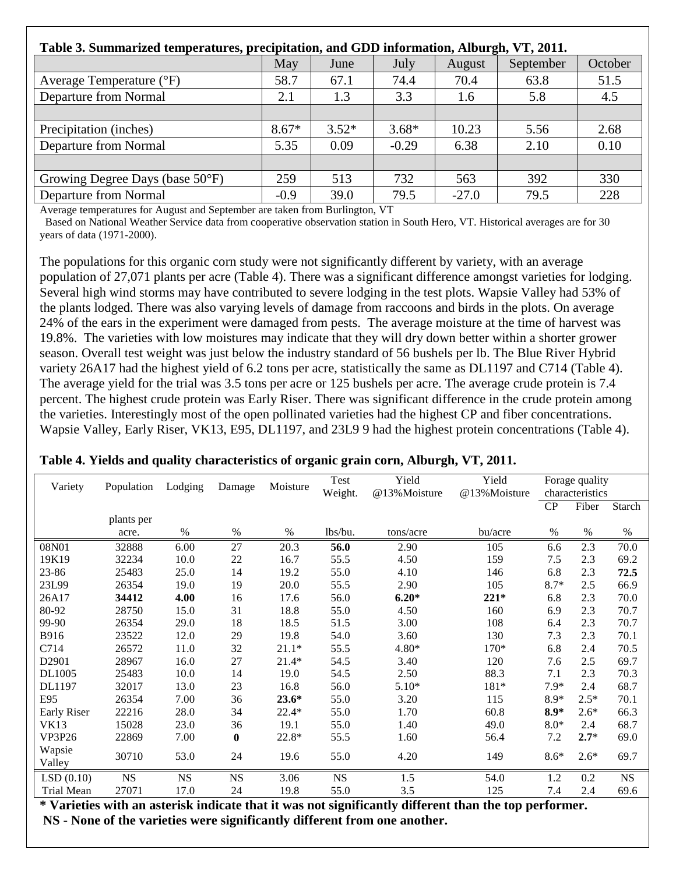| Table 3. Summarized temperatures, precipitation, and GDD information, Alburgh, VT, 2011. |         |         |         |         |           |         |  |
|------------------------------------------------------------------------------------------|---------|---------|---------|---------|-----------|---------|--|
|                                                                                          | May     | June    | July    | August  | September | October |  |
| Average Temperature (°F)                                                                 | 58.7    | 67.1    | 74.4    | 70.4    | 63.8      | 51.5    |  |
| Departure from Normal                                                                    | 2.1     | 1.3     | 3.3     | 1.6     | 5.8       | 4.5     |  |
|                                                                                          |         |         |         |         |           |         |  |
| Precipitation (inches)                                                                   | $8.67*$ | $3.52*$ | $3.68*$ | 10.23   | 5.56      | 2.68    |  |
| Departure from Normal                                                                    | 5.35    | 0.09    | $-0.29$ | 6.38    | 2.10      | 0.10    |  |
|                                                                                          |         |         |         |         |           |         |  |
| Growing Degree Days (base 50°F)                                                          | 259     | 513     | 732     | 563     | 392       | 330     |  |
| Departure from Normal                                                                    | $-0.9$  | 39.0    | 79.5    | $-27.0$ | 79.5      | 228     |  |

Average temperatures for August and September are taken from Burlington, VT

Based on National Weather Service data from cooperative observation station in South Hero, VT. Historical averages are for 30 years of data (1971-2000).

The populations for this organic corn study were not significantly different by variety, with an average population of 27,071 plants per acre (Table 4). There was a significant difference amongst varieties for lodging. Several high wind storms may have contributed to severe lodging in the test plots. Wapsie Valley had 53% of the plants lodged. There was also varying levels of damage from raccoons and birds in the plots. On average 24% of the ears in the experiment were damaged from pests. The average moisture at the time of harvest was 19.8%. The varieties with low moistures may indicate that they will dry down better within a shorter grower season. Overall test weight was just below the industry standard of 56 bushels per lb. The Blue River Hybrid variety 26A17 had the highest yield of 6.2 tons per acre, statistically the same as DL1197 and C714 (Table 4). The average yield for the trial was 3.5 tons per acre or 125 bushels per acre. The average crude protein is 7.4 percent. The highest crude protein was Early Riser. There was significant difference in the crude protein among the varieties. Interestingly most of the open pollinated varieties had the highest CP and fiber concentrations. Wapsie Valley, Early Riser, VK13, E95, DL1197, and 23L9 9 had the highest protein concentrations (Table 4).

| Variety            | Population | Lodging   | Damage    | Moisture | Test<br>Weight. | Yield<br>@13%Moisture | Yield<br>@13%Moisture |        | Forage quality<br>characteristics |           |
|--------------------|------------|-----------|-----------|----------|-----------------|-----------------------|-----------------------|--------|-----------------------------------|-----------|
|                    |            |           |           |          |                 |                       |                       | CP     | Fiber                             | Starch    |
|                    | plants per |           |           |          |                 |                       |                       |        |                                   |           |
|                    | acre.      | %         | %         | $\%$     | lbs/bu.         | tons/acre             | bu/acre               | $\%$   | $\%$                              | $\%$      |
| 08N01              | 32888      | 6.00      | 27        | 20.3     | 56.0            | 2.90                  | 105                   | 6.6    | 2.3                               | 70.0      |
| 19K19              | 32234      | 10.0      | 22        | 16.7     | 55.5            | 4.50                  | 159                   | 7.5    | 2.3                               | 69.2      |
| 23-86              | 25483      | 25.0      | 14        | 19.2     | 55.0            | 4.10                  | 146                   | 6.8    | 2.3                               | 72.5      |
| 23L99              | 26354      | 19.0      | 19        | 20.0     | 55.5            | 2.90                  | 105                   | $8.7*$ | 2.5                               | 66.9      |
| 26A17              | 34412      | 4.00      | 16        | 17.6     | 56.0            | $6.20*$               | $221*$                | 6.8    | 2.3                               | 70.0      |
| 80-92              | 28750      | 15.0      | 31        | 18.8     | 55.0            | 4.50                  | 160                   | 6.9    | 2.3                               | 70.7      |
| 99-90              | 26354      | 29.0      | 18        | 18.5     | 51.5            | 3.00                  | 108                   | 6.4    | 2.3                               | 70.7      |
| <b>B916</b>        | 23522      | 12.0      | 29        | 19.8     | 54.0            | 3.60                  | 130                   | 7.3    | 2.3                               | 70.1      |
| C714               | 26572      | 11.0      | 32        | $21.1*$  | 55.5            | 4.80*                 | 170*                  | 6.8    | 2.4                               | 70.5      |
| D2901              | 28967      | 16.0      | 27        | $21.4*$  | 54.5            | 3.40                  | 120                   | 7.6    | 2.5                               | 69.7      |
| DL1005             | 25483      | 10.0      | 14        | 19.0     | 54.5            | 2.50                  | 88.3                  | 7.1    | 2.3                               | 70.3      |
| DL1197             | 32017      | 13.0      | 23        | 16.8     | 56.0            | $5.10*$               | 181*                  | $7.9*$ | 2.4                               | 68.7      |
| E95                | 26354      | 7.00      | 36        | $23.6*$  | 55.0            | 3.20                  | 115                   | $8.9*$ | $2.5*$                            | 70.1      |
| <b>Early Riser</b> | 22216      | 28.0      | 34        | $22.4*$  | 55.0            | 1.70                  | 60.8                  | $8.9*$ | $2.6*$                            | 66.3      |
| <b>VK13</b>        | 15028      | 23.0      | 36        | 19.1     | 55.0            | 1.40                  | 49.0                  | $8.0*$ | 2.4                               | 68.7      |
| <b>VP3P26</b>      | 22869      | 7.00      | $\bf{0}$  | 22.8*    | 55.5            | 1.60                  | 56.4                  | 7.2    | $2.7*$                            | 69.0      |
| Wapsie             | 30710      | 53.0      | 24        | 19.6     | 55.0            | 4.20                  | 149                   | $8.6*$ | $2.6*$                            | 69.7      |
| Valley             |            |           |           |          |                 |                       |                       |        |                                   |           |
| LSD(0.10)          | <b>NS</b>  | <b>NS</b> | <b>NS</b> | 3.06     | <b>NS</b>       | 1.5                   | 54.0                  | 1.2    | 0.2                               | <b>NS</b> |
| Trial Mean         | 27071      | 17.0      | 24        | 19.8     | 55.0            | 3.5                   | 125                   | 7.4    | 2.4                               | 69.6      |

**Table 4. Yields and quality characteristics of organic grain corn, Alburgh, VT, 2011.** 

**\* Varieties with an asterisk indicate that it was not significantly different than the top performer. NS - None of the varieties were significantly different from one another.**